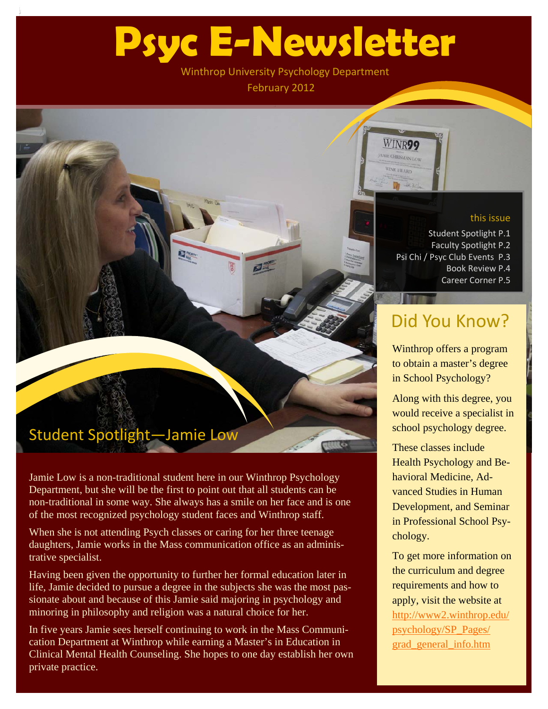# **Psyc E-Newsletter**

Winthrop University Psychology Department February 2012

### this issue

Student Spotlight P.1 Faculty Spotlight P.2 Psi Chi / Psyc Club Events P.3 Book Review P.4 Career Corner P.5

**WINR99** AMIE CHRISMAN LOW

# Did You Know?

Winthrop offers a program to obtain a master's degree in School Psychology?

Along with this degree, you would receive a specialist in school psychology degree.

These classes include Health Psychology and Behavioral Medicine, Advanced Studies in Human Development, and Seminar in Professional School Psychology.

To get more information on the curriculum and degree requirements and how to apply, visit the website at [http://www2.winthrop.edu/](http://www2.winthrop.edu/psychology/SP_Pages/grad_general_info.htm) [psychology/SP\\_Pages/](http://www2.winthrop.edu/psychology/SP_Pages/grad_general_info.htm) [grad\\_general\\_info.htm](http://www2.winthrop.edu/psychology/SP_Pages/grad_general_info.htm)

# Student Spotlight—Jamie Low

Jamie Low is a non-traditional student here in our Winthrop Psychology Department, but she will be the first to point out that all students can be non-traditional in some way. She always has a smile on her face and is one of the most recognized psychology student faces and Winthrop staff.

When she is not attending Psych classes or caring for her three teenage daughters, Jamie works in the Mass communication office as an administrative specialist.

Having been given the opportunity to further her formal education later in life, Jamie decided to pursue a degree in the subjects she was the most passionate about and because of this Jamie said majoring in psychology and minoring in philosophy and religion was a natural choice for her.

In five years Jamie sees herself continuing to work in the Mass Communication Department at Winthrop while earning a Master's in Education in Clinical Mental Health Counseling. She hopes to one day establish her own private practice.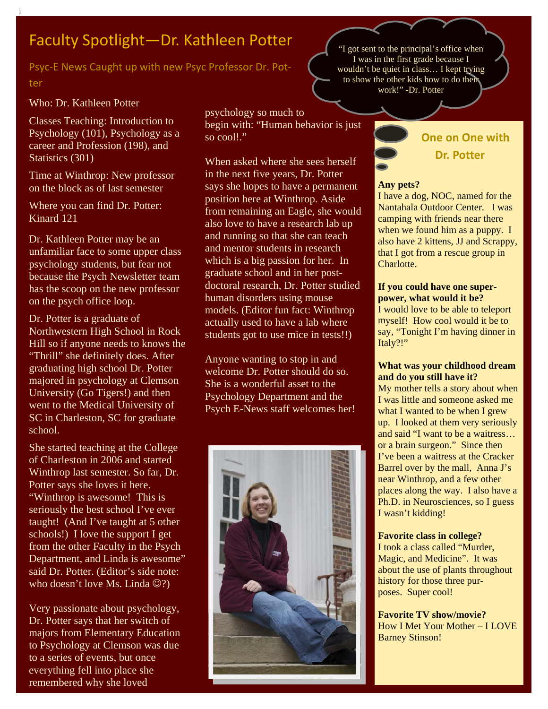# Faculty Spotlight—Dr. Kathleen Potter

Psyc‐E News Caught up with new Psyc Professor Dr. Pot‐ ter

#### Who: Dr. Kathleen Potter

Classes Teaching: Introduction to Psychology (101), Psychology as a career and Profession (198), and Statistics (301)

Time at Winthrop: New professor on the block as of last semester

Where you can find Dr. Potter: Kinard 121

Dr. Kathleen Potter may be an unfamiliar face to some upper class psychology students, but fear not because the Psych Newsletter team has the scoop on the new professor on the psych office loop.

Dr. Potter is a graduate of Northwestern High School in Rock Hill so if anyone needs to knows the "Thrill" she definitely does. After graduating high school Dr. Potter majored in psychology at Clemson University (Go Tigers!) and then went to the Medical University of SC in Charleston, SC for graduate school.

She started teaching at the College of Charleston in 2006 and started Winthrop last semester. So far, Dr. Potter says she loves it here. "Winthrop is awesome! This is seriously the best school I've ever taught! (And I've taught at 5 other schools!) I love the support I get from the other Faculty in the Psych Department, and Linda is awesome" said Dr. Potter. (Editor's side note: who doesn't love Ms. Linda  $\odot$ ?)

Very passionate about psychology, Dr. Potter says that her switch of majors from Elementary Education to Psychology at Clemson was due to a series of events, but once everything fell into place she remembered why she loved

psychology so much to begin with: "Human behavior is just so cool!"

When asked where she sees herself in the next five years, Dr. Potter says she hopes to have a permanent position here at Winthrop. Aside from remaining an Eagle, she would also love to have a research lab up and running so that she can teach and mentor students in research which is a big passion for her. In graduate school and in her postdoctoral research, Dr. Potter studied human disorders using mouse models. (Editor fun fact: Winthrop actually used to have a lab where students got to use mice in tests!!)

Anyone wanting to stop in and welcome Dr. Potter should do so. She is a wonderful asset to the Psychology Department and the Psych E-News staff welcomes her!



"I got sent to the principal's office when I was in the first grade because I wouldn't be quiet in class… I kept trying to show the other kids how to do their work!" -Dr. Potter

### **One on One with Dr. Potter**

#### **Any pets?**

I have a dog, NOC, named for the Nantahala Outdoor Center. I was camping with friends near there when we found him as a puppy. I also have 2 kittens, JJ and Scrappy, that I got from a rescue group in Charlotte.

#### **If you could have one superpower, what would it be?**

I would love to be able to teleport myself! How cool would it be to say, "Tonight I'm having dinner in Italy?!"

#### **What was your childhood dream and do you still have it?**

My mother tells a story about when I was little and someone asked me what I wanted to be when I grew up. I looked at them very seriously and said "I want to be a waitress… or a brain surgeon." Since then I've been a waitress at the Cracker Barrel over by the mall, Anna J's near Winthrop, and a few other places along the way. I also have a Ph.D. in Neurosciences, so I guess I wasn't kidding!

#### **Favorite class in college?**

I took a class called "Murder, Magic, and Medicine". It was about the use of plants throughout history for those three purposes. Super cool!

**Favorite TV show/movie?**  How I Met Your Mother – I LOVE Barney Stinson!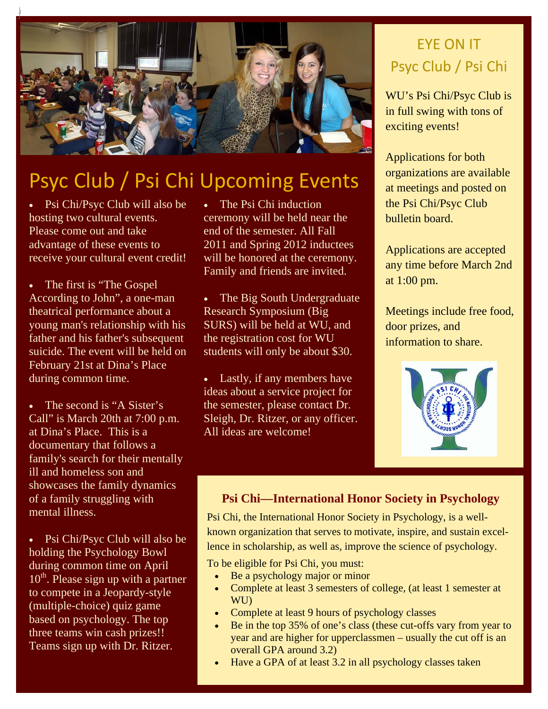

# Psyc Club / Psi Chi Upcoming Events

• Psi Chi/Psyc Club will also be hosting two cultural events. Please come out and take advantage of these events to receive your cultural event credit!

The first is "The Gospel" According to John", a one-man theatrical performance about a young man's relationship with his father and his father's subsequent suicide. The event will be held on February 21st at Dina's Place during common time.

The second is "A Sister's" Call" is March 20th at 7:00 p.m. at Dina's Place. This is a documentary that follows a family's search for their mentally ill and homeless son and showcases the family dynamics of a family struggling with mental illness.

• Psi Chi/Psyc Club will also be holding the Psychology Bowl during common time on April  $10^{th}$ . Please sign up with a partner to compete in a Jeopardy-style (multiple-choice) quiz game based on psychology. The top three teams win cash prizes!! Teams sign up with Dr. Ritzer.

• The Psi Chi induction ceremony will be held near the end of the semester. All Fall 2011 and Spring 2012 inductees will be honored at the ceremony. Family and friends are invited.

• The Big South Undergraduate Research Symposium (Big SURS) will be held at WU, and the registration cost for WU students will only be about \$30.

• Lastly, if any members have ideas about a service project for the semester, please contact Dr. Sleigh, Dr. Ritzer, or any officer. All ideas are welcome!

# EYE ON IT Psyc Club / Psi Chi

WU's Psi Chi/Psyc Club is in full swing with tons of exciting events!

Applications for both organizations are available at meetings and posted on the Psi Chi/Psyc Club bulletin board.

Applications are accepted any time before March 2nd at 1:00 pm.

Meetings include free food, door prizes, and information to share.



### **Psi Chi—International Honor Society in Psychology**

Psi Chi, the International Honor Society in Psychology, is a wellknown organization that serves to motivate, inspire, and sustain excellence in scholarship, as well as, improve the science of psychology.

To be eligible for Psi Chi, you must:

- Be a psychology major or minor
- Complete at least 3 semesters of college, (at least 1 semester at WU)
- Complete at least 9 hours of psychology classes
- Be in the top 35% of one's class (these cut-offs vary from year to year and are higher for upperclassmen – usually the cut off is an overall GPA around 3.2)
- Have a GPA of at least 3.2 in all psychology classes taken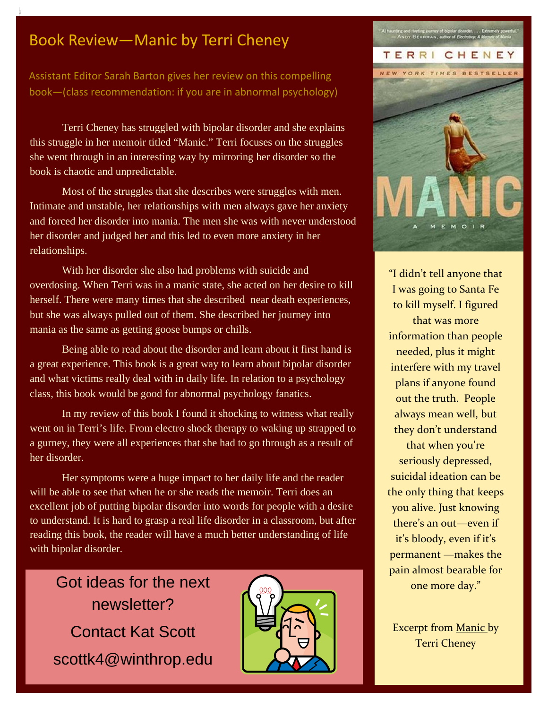### Book Review—Manic by Terri Cheney

Assistant Editor Sarah Barton gives her review on this compelling book—(class recommendation: if you are in abnormal psychology)

Terri Cheney has struggled with bipolar disorder and she explains this struggle in her memoir titled "Manic." Terri focuses on the struggles she went through in an interesting way by mirroring her disorder so the book is chaotic and unpredictable.

Most of the struggles that she describes were struggles with men. Intimate and unstable, her relationships with men always gave her anxiety and forced her disorder into mania. The men she was with never understood her disorder and judged her and this led to even more anxiety in her relationships.

With her disorder she also had problems with suicide and overdosing. When Terri was in a manic state, she acted on her desire to kill herself. There were many times that she described near death experiences, but she was always pulled out of them. She described her journey into mania as the same as getting goose bumps or chills.

Being able to read about the disorder and learn about it first hand is a great experience. This book is a great way to learn about bipolar disorder and what victims really deal with in daily life. In relation to a psychology class, this book would be good for abnormal psychology fanatics.

In my review of this book I found it shocking to witness what really went on in Terri's life. From electro shock therapy to waking up strapped to a gurney, they were all experiences that she had to go through as a result of her disorder.

Her symptoms were a huge impact to her daily life and the reader will be able to see that when he or she reads the memoir. Terri does an excellent job of putting bipolar disorder into words for people with a desire to understand. It is hard to grasp a real life disorder in a classroom, but after reading this book, the reader will have a much better understanding of life with bipolar disorder.

Got ideas for the next newsletter? Contact Kat Scott scottk4@winthrop.edu





"I didn't tell anyone that I was going to Santa Fe to kill myself. I figured that was more information than people needed, plus it might interfere with my travel plans if anyone found out the truth. People always mean well, but they don't understand that when you're seriously depressed, suicidal ideation can be the only thing that keeps you alive. Just knowing there's an out—even if it's bloody, even if it's permanent —makes the pain almost bearable for one more day."

Excerpt from Manic by Terri Cheney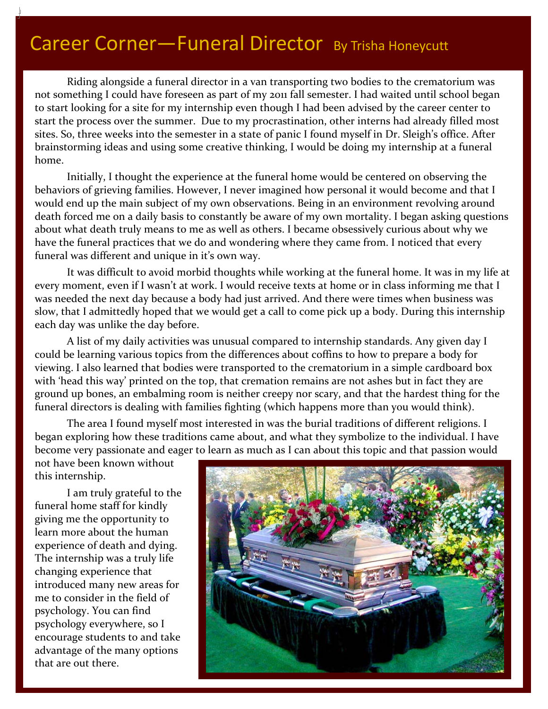Riding alongside a funeral director in a van transporting two bodies to the crematorium was not something I could have foreseen as part of my 2011 fall semester. I had waited until school began to start looking for a site for my internship even though I had been advised by the career center to start the process over the summer. Due to my procrastination, other interns had already filled most sites. So, three weeks into the semester in a state of panic I found myself in Dr. Sleigh's office. After brainstorming ideas and using some creative thinking, I would be doing my internship at a funeral home.

Initially, I thought the experience at the funeral home would be centered on observing the behaviors of grieving families. However, I never imagined how personal it would become and that I would end up the main subject of my own observations. Being in an environment revolving around death forced me on a daily basis to constantly be aware of my own mortality. I began asking questions about what death truly means to me as well as others. I became obsessively curious about why we have the funeral practices that we do and wondering where they came from. I noticed that every funeral was different and unique in it's own way.

It was difficult to avoid morbid thoughts while working at the funeral home. It was in my life at every moment, even if I wasn't at work. I would receive texts at home or in class informing me that I was needed the next day because a body had just arrived. And there were times when business was slow, that I admittedly hoped that we would get a call to come pick up a body. During this internship each day was unlike the day before.

A list of my daily activities was unusual compared to internship standards. Any given day I could be learning various topics from the differences about coffins to how to prepare a body for viewing. I also learned that bodies were transported to the crematorium in a simple cardboard box with 'head this way' printed on the top, that cremation remains are not ashes but in fact they are ground up bones, an embalming room is neither creepy nor scary, and that the hardest thing for the funeral directors is dealing with families fighting (which happens more than you would think).

The area I found myself most interested in was the burial traditions of different religions. I began exploring how these traditions came about, and what they symbolize to the individual. I have become very passionate and eager to learn as much as I can about this topic and that passion would

not have been known without this internship.

I am truly grateful to the funeral home staff for kindly giving me the opportunity to learn more about the human experience of death and dying. The internship was a truly life changing experience that introduced many new areas for me to consider in the field of psychology. You can find psychology everywhere, so I encourage students to and take advantage of the many options that are out there.